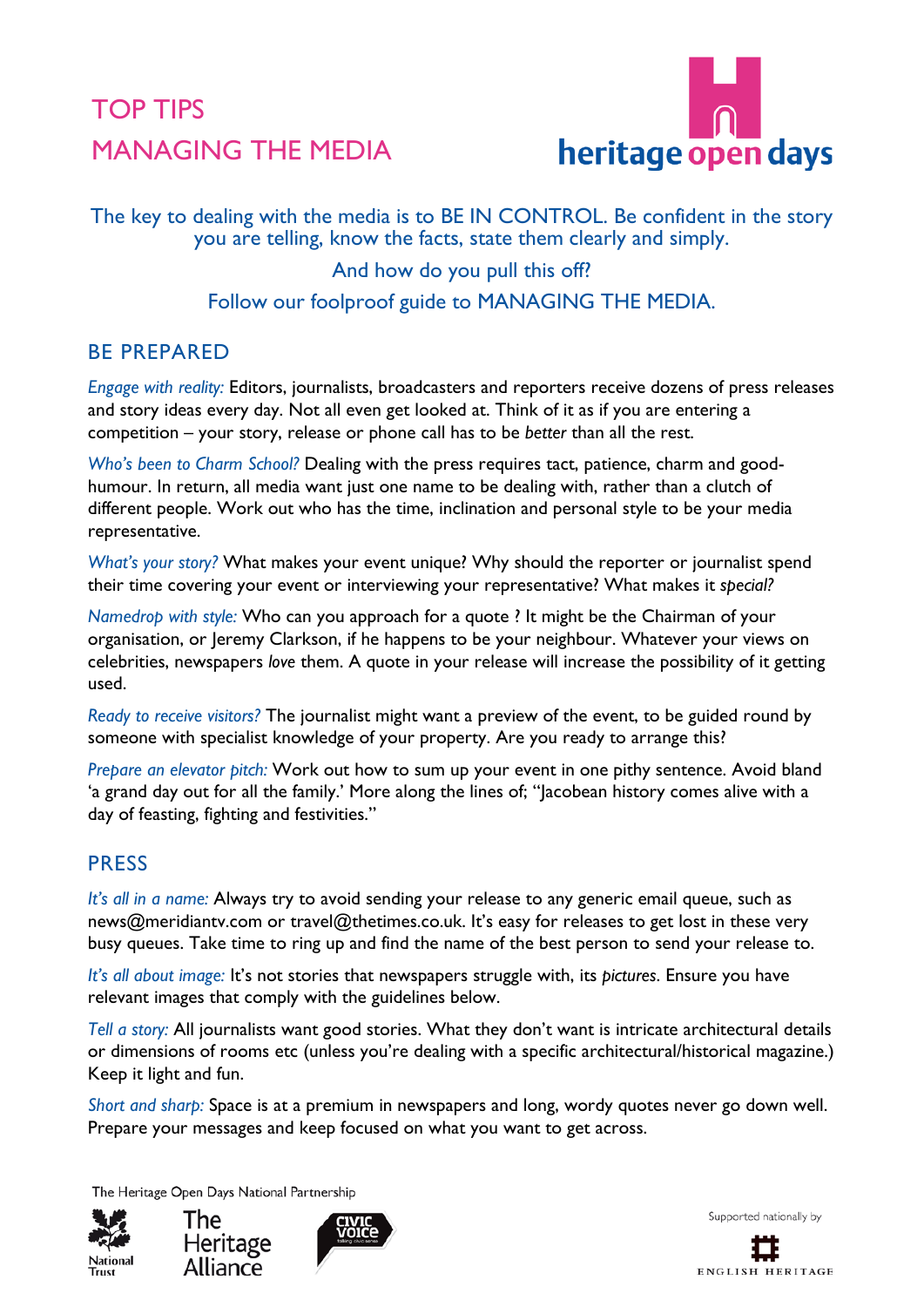# TOP TIPS MANAGING THE MEDIA



The key to dealing with the media is to BE IN CONTROL. Be confident in the story you are telling, know the facts, state them clearly and simply.

## And how do you pull this off? Follow our foolproof guide to MANAGING THE MEDIA.

#### BE PREPARED

*Engage with reality:* Editors, journalists, broadcasters and reporters receive dozens of press releases and story ideas every day. Not all even get looked at. Think of it as if you are entering a competition – your story, release or phone call has to be *better* than all the rest.

*Who's been to Charm School?* Dealing with the press requires tact, patience, charm and goodhumour. In return, all media want just one name to be dealing with, rather than a clutch of different people. Work out who has the time, inclination and personal style to be your media representative.

*What's your story?* What makes your event unique? Why should the reporter or journalist spend their time covering your event or interviewing your representative? What makes it *special?*

*Namedrop with style:* Who can you approach for a quote ? It might be the Chairman of your organisation, or Jeremy Clarkson, if he happens to be your neighbour. Whatever your views on celebrities, newspapers *love* them. A quote in your release will increase the possibility of it getting used.

*Ready to receive visitors?* The journalist might want a preview of the event, to be guided round by someone with specialist knowledge of your property. Are you ready to arrange this?

*Prepare an elevator pitch:* Work out how to sum up your event in one pithy sentence. Avoid bland 'a grand day out for all the family.' More along the lines of; "Jacobean history comes alive with a day of feasting, fighting and festivities."

## **PRESS**

*It's all in a name:* Always try to avoid sending your release to any generic email queue, such as news@meridiantv.com or travel@thetimes.co.uk. It's easy for releases to get lost in these very busy queues. Take time to ring up and find the name of the best person to send your release to.

*It's all about image:* It's not stories that newspapers struggle with, its *pictures*. Ensure you have relevant images that comply with the guidelines below.

*Tell a story:* All journalists want good stories. What they don't want is intricate architectural details or dimensions of rooms etc (unless you're dealing with a specific architectural/historical magazine.) Keep it light and fun.

*Short and sharp:* Space is at a premium in newspapers and long, wordy quotes never go down well. Prepare your messages and keep focused on what you want to get across.

The Heritage Open Days National Partnership







Supported nationally by

ENGLISH HERITAGE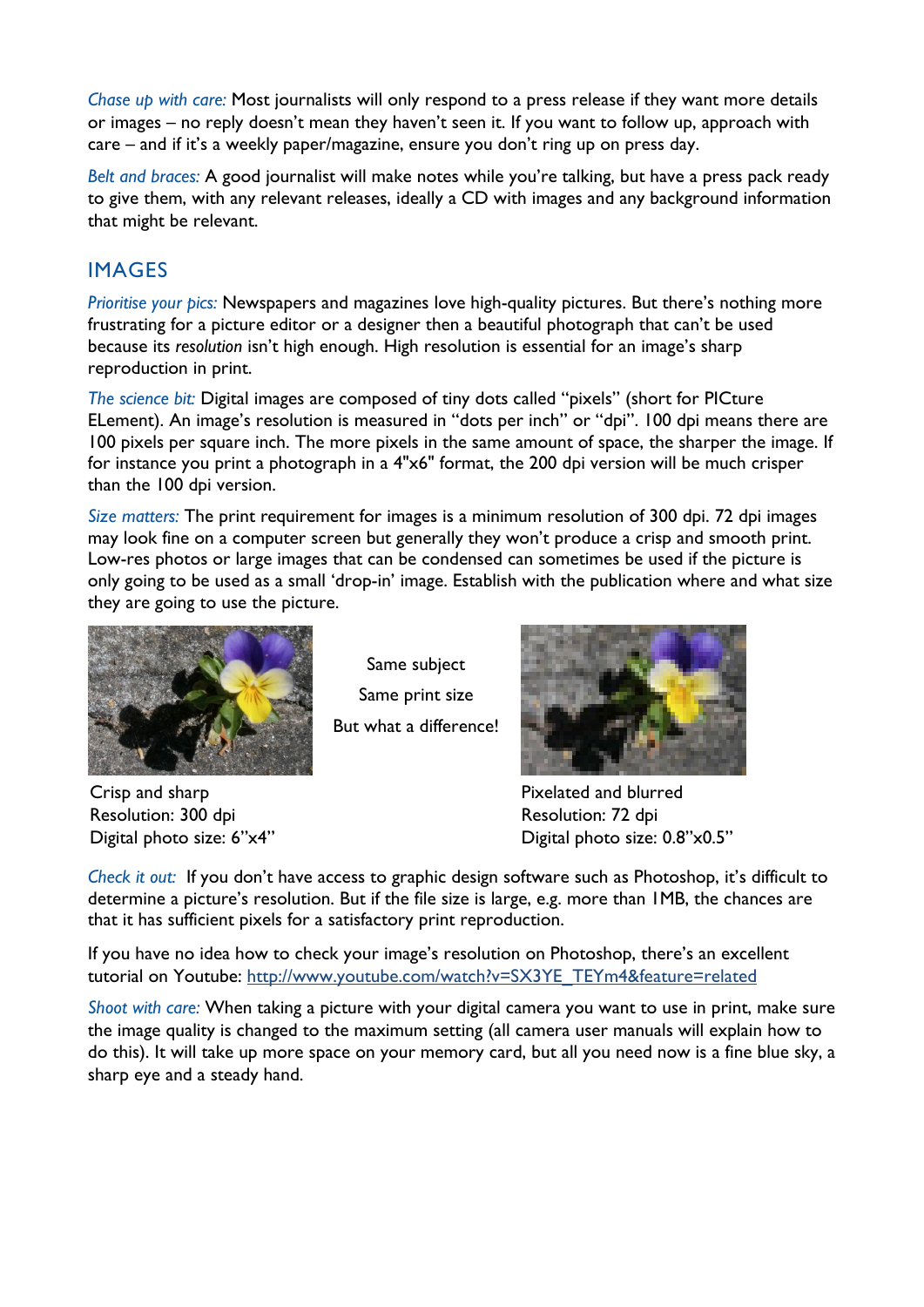*Chase up with care:* Most journalists will only respond to a press release if they want more details or images – no reply doesn't mean they haven't seen it. If you want to follow up, approach with care – and if it's a weekly paper/magazine, ensure you don't ring up on press day.

*Belt and braces:* A good journalist will make notes while you're talking, but have a press pack ready to give them, with any relevant releases, ideally a CD with images and any background information that might be relevant.

### IMAGES

*Prioritise your pics:* Newspapers and magazines love high-quality pictures. But there's nothing more frustrating for a picture editor or a designer then a beautiful photograph that can't be used because its *resolution* isn't high enough. High resolution is essential for an image's sharp reproduction in print.

*The science bit:* Digital images are composed of tiny dots called "pixels" (short for PICture ELement). An image's resolution is measured in "dots per inch" or "dpi". 100 dpi means there are 100 pixels per square inch. The more pixels in the same amount of space, the sharper the image. If for instance you print a photograph in a 4"x6" format, the 200 dpi version will be much crisper than the 100 dpi version.

*Size matters:* The print requirement for images is a minimum resolution of 300 dpi. 72 dpi images may look fine on a computer screen but generally they won't produce a crisp and smooth print. Low-res photos or large images that can be condensed can sometimes be used if the picture is only going to be used as a small 'drop-in' image. Establish with the publication where and what size they are going to use the picture.



Same subject Same print size But what a difference!

Crisp and sharp Resolution: 300 dpi Digital photo size: 6"x4"



Pixelated and blurred Resolution: 72 dpi Digital photo size: 0.8"x0.5"

*Check it out:* If you don't have access to graphic design software such as Photoshop, it's difficult to determine a picture's resolution. But if the file size is large, e.g. more than 1MB, the chances are that it has sufficient pixels for a satisfactory print reproduction.

If you have no idea how to check your image's resolution on Photoshop, there's an excellent tutorial on Youtube: [http://www.youtube.com/watch?v=SX3YE\\_TEYm4&feature=related](http://www.youtube.com/watch?v=SX3YE_TEYm4&feature=related)

*Shoot with care:* When taking a picture with your digital camera you want to use in print, make sure the image quality is changed to the maximum setting (all camera user manuals will explain how to do this). It will take up more space on your memory card, but all you need now is a fine blue sky, a sharp eye and a steady hand.